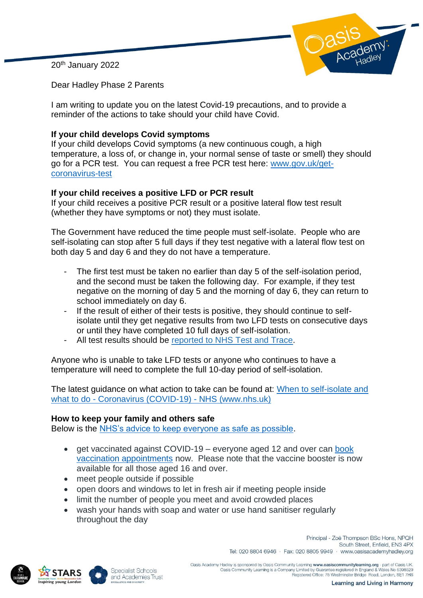20th January 2022



Dear Hadley Phase 2 Parents

I am writing to update you on the latest Covid-19 precautions, and to provide a reminder of the actions to take should your child have Covid.

## **If your child develops Covid symptoms**

If your child develops Covid symptoms (a new continuous cough, a high temperature, a loss of, or change in, your normal sense of taste or smell) they should go for a PCR test. You can request a free PCR test here: [www.gov.uk/get](https://www.gov.uk/get-coronavirus-test)[coronavirus-test](https://www.gov.uk/get-coronavirus-test)

## **If your child receives a positive LFD or PCR result**

If your child receives a positive PCR result or a positive lateral flow test result (whether they have symptoms or not) they must isolate.

The Government have reduced the time people must self-isolate. People who are self-isolating can stop after 5 full days if they test negative with a lateral flow test on both day 5 and day 6 and they do not have a temperature.

- The first test must be taken no earlier than day 5 of the self-isolation period, and the second must be taken the following day. For example, if they test negative on the morning of day 5 and the morning of day 6, they can return to school immediately on day 6.
- If the result of either of their tests is positive, they should continue to selfisolate until they get negative results from two LFD tests on consecutive days or until they have completed 10 full days of self-isolation.
- All test results should be [reported to NHS Test and Trace.](https://www.gov.uk/report-covid19-result?utm_source=14%20January%202022%20C19&utm_medium=Daily%20Email%20C19&utm_campaign=DfE%20C19)

Anyone who is unable to take LFD tests or anyone who continues to have a temperature will need to complete the full 10-day period of self-isolation.

The latest guidance on what action to take can be found at: When to self-isolate and what to do - Coronavirus (COVID-19) - NHS (www.nhs.uk)

## **How to keep your family and others safe**

Below is the [NHS's advice to keep everyone as safe as possible.](https://www.nhs.uk/conditions/coronavirus-covid-19/how-to-avoid-catching-and-spreading-coronavirus-covid-19/)

- get vaccinated against COVID-19 everyone aged 12 and over can book [vaccination appointments](https://www.nhs.uk/conditions/coronavirus-covid-19/coronavirus-vaccination/book-coronavirus-vaccination/) now. Please note that the vaccine booster is now available for all those aged 16 and over.
- meet people outside if possible
- open doors and windows to let in fresh air if meeting people inside
- limit the number of people you meet and avoid crowded places
- wash your hands with soap and water or use hand sanitiser regularly throughout the day







Oasis Academy Hadley is sponsored by Oasis Community Learning www.oasiscommunitylearning.org - part of Oasis UK Oasis Community Learning is a Company Limited by Guarantee registered in England & Wales No 5398529<br>Registered Office: 75 Westminster Bridge Road, London, SE1 7HS